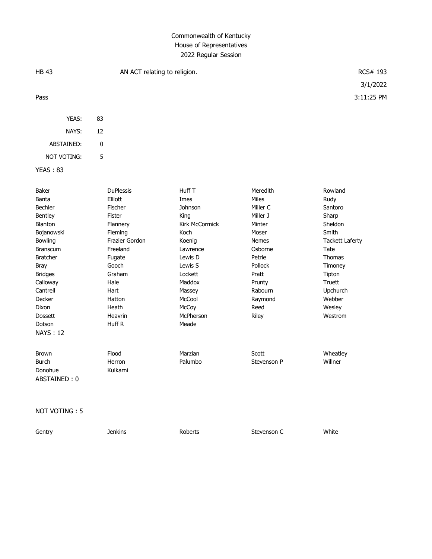## Commonwealth of Kentucky House of Representatives 2022 Regular Session

| <b>HB 43</b>                                                                                                                                                                                                                              | AN ACT relating to religion.                                                                                                                                                               |                                                                                                                                                                                            |                                                                                                                                                                               | RCS# 193                                                                                                                                                                      |  |
|-------------------------------------------------------------------------------------------------------------------------------------------------------------------------------------------------------------------------------------------|--------------------------------------------------------------------------------------------------------------------------------------------------------------------------------------------|--------------------------------------------------------------------------------------------------------------------------------------------------------------------------------------------|-------------------------------------------------------------------------------------------------------------------------------------------------------------------------------|-------------------------------------------------------------------------------------------------------------------------------------------------------------------------------|--|
|                                                                                                                                                                                                                                           |                                                                                                                                                                                            |                                                                                                                                                                                            |                                                                                                                                                                               | 3/1/2022                                                                                                                                                                      |  |
| Pass                                                                                                                                                                                                                                      |                                                                                                                                                                                            |                                                                                                                                                                                            |                                                                                                                                                                               | 3:11:25 PM                                                                                                                                                                    |  |
| YEAS:                                                                                                                                                                                                                                     | 83                                                                                                                                                                                         |                                                                                                                                                                                            |                                                                                                                                                                               |                                                                                                                                                                               |  |
| NAYS:                                                                                                                                                                                                                                     | 12                                                                                                                                                                                         |                                                                                                                                                                                            |                                                                                                                                                                               |                                                                                                                                                                               |  |
| ABSTAINED:                                                                                                                                                                                                                                | 0                                                                                                                                                                                          |                                                                                                                                                                                            |                                                                                                                                                                               |                                                                                                                                                                               |  |
| NOT VOTING:                                                                                                                                                                                                                               | 5                                                                                                                                                                                          |                                                                                                                                                                                            |                                                                                                                                                                               |                                                                                                                                                                               |  |
| YEAS: 83                                                                                                                                                                                                                                  |                                                                                                                                                                                            |                                                                                                                                                                                            |                                                                                                                                                                               |                                                                                                                                                                               |  |
| Baker<br>Banta<br>Bechler<br>Bentley<br>Blanton<br>Bojanowski<br>Bowling<br><b>Branscum</b><br><b>Bratcher</b><br><b>Bray</b><br><b>Bridges</b><br>Calloway<br>Cantrell<br>Decker<br>Dixon<br><b>Dossett</b><br>Dotson<br><b>NAYS: 12</b> | <b>DuPlessis</b><br>Elliott<br>Fischer<br>Fister<br>Flannery<br>Fleming<br>Frazier Gordon<br>Freeland<br>Fugate<br>Gooch<br>Graham<br>Hale<br>Hart<br>Hatton<br>Heath<br>Heavrin<br>Huff R | Huff <sub>T</sub><br>Imes<br>Johnson<br>King<br>Kirk McCormick<br>Koch<br>Koenig<br>Lawrence<br>Lewis D<br>Lewis S<br>Lockett<br>Maddox<br>Massey<br>McCool<br>McCoy<br>McPherson<br>Meade | Meredith<br><b>Miles</b><br>Miller C<br>Miller J<br>Minter<br>Moser<br><b>Nemes</b><br>Osborne<br>Petrie<br>Pollock<br>Pratt<br>Prunty<br>Rabourn<br>Raymond<br>Reed<br>Riley | Rowland<br>Rudy<br>Santoro<br>Sharp<br>Sheldon<br>Smith<br><b>Tackett Laferty</b><br>Tate<br>Thomas<br>Timoney<br>Tipton<br>Truett<br>Upchurch<br>Webber<br>Wesley<br>Westrom |  |
| <b>Brown</b><br><b>Burch</b><br>Donohue<br>ABSTAINED: 0                                                                                                                                                                                   | Flood<br>Herron<br>Kulkarni                                                                                                                                                                | Marzian<br>Palumbo                                                                                                                                                                         | Scott<br>Stevenson P                                                                                                                                                          | Wheatley<br>Willner                                                                                                                                                           |  |

NOT VOTING : 5

Gentry **Subset Conserverse Conserverse Conserverse Conserverse Conserverse Conserverse Conserverse Conserverse C**